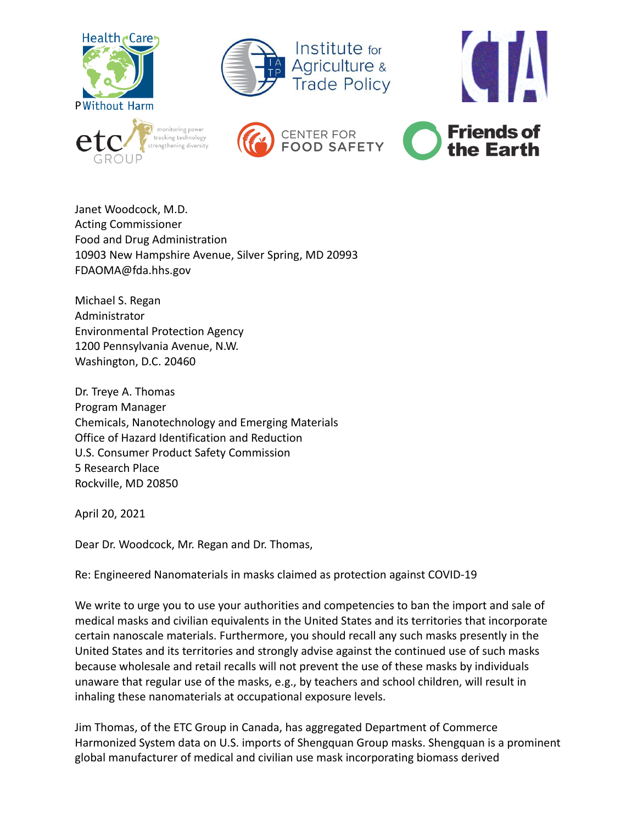









Janet Woodcock, M.D. Acting Commissioner Food and Drug Administration 10903 New Hampshire Avenue, Silver Spring, MD 20993 FDAOMA@fda.hhs.gov

Michael S. Regan Administrator Environmental Protection Agency 1200 Pennsylvania Avenue, N.W. Washington, D.C. 20460

Dr. Treye A. Thomas Program Manager Chemicals, Nanotechnology and Emerging Materials Office of Hazard Identification and Reduction U.S. Consumer Product Safety Commission 5 Research Place Rockville, MD 20850

April 20, 2021

Dear Dr. Woodcock, Mr. Regan and Dr. Thomas,

Re: Engineered Nanomaterials in masks claimed as protection against COVID-19

We write to urge you to use your authorities and competencies to ban the import and sale of medical masks and civilian equivalents in the United States and its territories that incorporate certain nanoscale materials. Furthermore, you should recall any such masks presently in the United States and its territories and strongly advise against the continued use of such masks because wholesale and retail recalls will not prevent the use of these masks by individuals unaware that regular use of the masks, e.g., by teachers and school children, will result in inhaling these nanomaterials at occupational exposure levels.

Jim Thomas, of the ETC Group in Canada, has aggregated Department of Commerce Harmonized System data on U.S. imports of Shengquan Group masks. Shengquan is a prominent global manufacturer of medical and civilian use mask incorporating biomass derived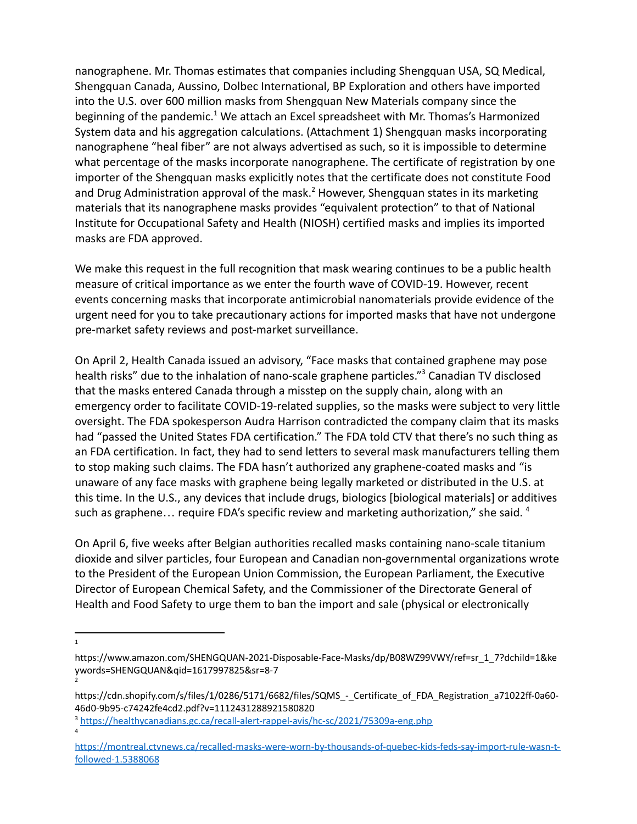nanographene. Mr. Thomas estimates that companies including Shengquan USA, SQ Medical, Shengquan Canada, Aussino, Dolbec International, BP Exploration and others have imported into the U.S. over 600 million masks from Shengquan New Materials company since the beginning of the pandemic.<sup>1</sup> We attach an Excel spreadsheet with Mr. Thomas's Harmonized System data and his aggregation calculations. (Attachment 1) Shengquan masks incorporating nanographene "heal fiber" are not always advertised as such, so it is impossible to determine what percentage of the masks incorporate nanographene. The certificate of registration by one importer of the Shengquan masks explicitly notes that the certificate does not constitute Food and Drug Administration approval of the mask.<sup>2</sup> However, Shengquan states in its marketing materials that its nanographene masks provides "equivalent protection" to that of National Institute for Occupational Safety and Health (NIOSH) certified masks and implies its imported masks are FDA approved.

We make this request in the full recognition that mask wearing continues to be a public health measure of critical importance as we enter the fourth wave of COVID-19. However, recent events concerning masks that incorporate antimicrobial nanomaterials provide evidence of the urgent need for you to take precautionary actions for imported masks that have not undergone pre-market safety reviews and post-market surveillance.

On April 2, Health Canada issued an advisory, "Face masks that contained graphene may pose health risks" due to the inhalation of nano-scale graphene particles." <sup>3</sup> Canadian TV disclosed that the masks entered Canada through a misstep on the supply chain, along with an emergency order to facilitate COVID-19-related supplies, so the masks were subject to very little oversight. The FDA spokesperson Audra Harrison contradicted the company claim that its masks had "passed the United States FDA certification." The FDA told CTV that there's no such thing as an FDA certification. In fact, they had to send letters to several mask manufacturers telling them to stop making such claims. The FDA hasn't authorized any graphene-coated masks and "is unaware of any face masks with graphene being legally marketed or distributed in the U.S. at this time. In the U.S., any devices that include drugs, biologics [biological materials] or additives such as graphene... require FDA's specific review and marketing authorization," she said. 4

On April 6, five weeks after Belgian authorities recalled masks containing nano-scale titanium dioxide and silver particles, four European and Canadian non-governmental organizations wrote to the President of the European Union Commission, the European Parliament, the Executive Director of European Chemical Safety, and the Commissioner of the Directorate General of Health and Food Safety to urge them to ban the import and sale (physical or electronically

1

2

4

https://www.amazon.com/SHENGQUAN-2021-Disposable-Face-Masks/dp/B08WZ99VWY/ref=sr\_1\_7?dchild=1&ke ywords=SHENGQUAN&qid=1617997825&sr=8-7

https://cdn.shopify.com/s/files/1/0286/5171/6682/files/SQMS\_-\_Certificate\_of\_FDA\_Registration\_a71022ff-0a60- 46d0-9b95-c74242fe4cd2.pdf?v=1112431288921580820

<sup>&</sup>lt;sup>3</sup> <https://healthycanadians.gc.ca/recall-alert-rappel-avis/hc-sc/2021/75309a-eng.php>

[https://montreal.ctvnews.ca/recalled-masks-were-worn-by-thousands-of-quebec-kids-feds-say-import-rule-wasn-t](https://montreal.ctvnews.ca/recalled-masks-were-worn-by-thousands-of-quebec-kids-feds-say-import-rule-wasn-t-followed-1.5388068)[followed-1.5388068](https://montreal.ctvnews.ca/recalled-masks-were-worn-by-thousands-of-quebec-kids-feds-say-import-rule-wasn-t-followed-1.5388068)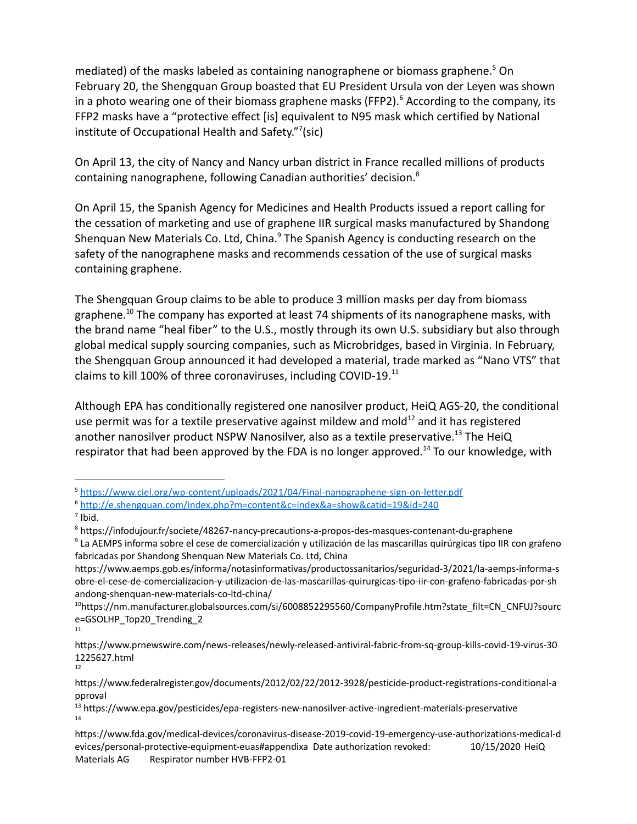mediated) of the masks labeled as containing nanographene or biomass graphene.<sup>5</sup> On February 20, the Shengquan Group boasted that EU President Ursula von der Leyen was shown in a photo wearing one of their biomass graphene masks (FFP2).<sup>6</sup> According to the company, its FFP2 masks have a "protective effect [is] equivalent to N95 mask which certified by National institute of Occupational Health and Safety."<sup>7</sup>(sic)

On April 13, the city of Nancy and Nancy urban district in France recalled millions of products containing nanographene, following Canadian authorities' decision.<sup>8</sup>

On April 15, the Spanish Agency for Medicines and Health Products issued a report calling for the cessation of marketing and use of graphene IIR surgical masks manufactured by Shandong Shenquan New Materials Co. Ltd, China.<sup>9</sup> The Spanish Agency is conducting research on the safety of the nanographene masks and recommends cessation of the use of surgical masks containing graphene.

The Shengquan Group claims to be able to produce 3 million masks per day from biomass graphene.<sup>10</sup> The company has exported at least 74 shipments of its nanographene masks, with the brand name "heal fiber" to the U.S., mostly through its own U.S. subsidiary but also through global medical supply sourcing companies, such as Microbridges, based in Virginia. In February, the Shengquan Group announced it had developed a material, trade marked as "Nano VTS" that claims to kill 100% of three coronaviruses, including COVID-19.<sup>11</sup>

Although EPA has conditionally registered one nanosilver product, HeiQ AGS-20, the conditional use permit was for a textile preservative against mildew and mold $12$  and it has registered another nanosilver product NSPW Nanosilver, also as a textile preservative.<sup>13</sup> The HeiQ respirator that had been approved by the FDA is no longer approved.<sup>14</sup> To our knowledge, with

<sup>5</sup> <https://www.ciel.org/wp-content/uploads/2021/04/Final-nanographene-sign-on-letter.pdf>

<sup>6</sup> <http://e.shengquan.com/index.php?m=content&c=index&a=show&catid=19&id=240>

 $<sup>7</sup>$  Ibid.</sup>

<sup>8</sup> https://infodujour.fr/societe/48267-nancy-precautions-a-propos-des-masques-contenant-du-graphene

<sup>&</sup>lt;sup>9</sup> La AEMPS informa sobre el cese de comercialización y utilización de las mascarillas quirúrgicas tipo IIR con grafeno fabricadas por Shandong Shenquan New Materials Co. Ltd, China

https://www.aemps.gob.es/informa/notasinformativas/productossanitarios/seguridad-3/2021/la-aemps-informa-s obre-el-cese-de-comercializacion-y-utilizacion-de-las-mascarillas-quirurgicas-tipo-iir-con-grafeno-fabricadas-por-sh andong-shenquan-new-materials-co-ltd-china/

<sup>11</sup> <sup>10</sup>https://nm.manufacturer.globalsources.com/si/6008852295560/CompanyProfile.htm?state\_filt=CN\_CNFUJ?sourc e=GSOLHP\_Top20\_Trending\_2

<sup>12</sup> https://www.prnewswire.com/news-releases/newly-released-antiviral-fabric-from-sq-group-kills-covid-19-virus-30 1225627.html

https://www.federalregister.gov/documents/2012/02/22/2012-3928/pesticide-product-registrations-conditional-a pproval

<sup>14</sup> <sup>13</sup> https://www.epa.gov/pesticides/epa-registers-new-nanosilver-active-ingredient-materials-preservative

https://www.fda.gov/medical-devices/coronavirus-disease-2019-covid-19-emergency-use-authorizations-medical-d evices/personal-protective-equipment-euas#appendixa Date authorization revoked: 10/15/2020 HeiQ Materials AG Respirator number HVB-FFP2-01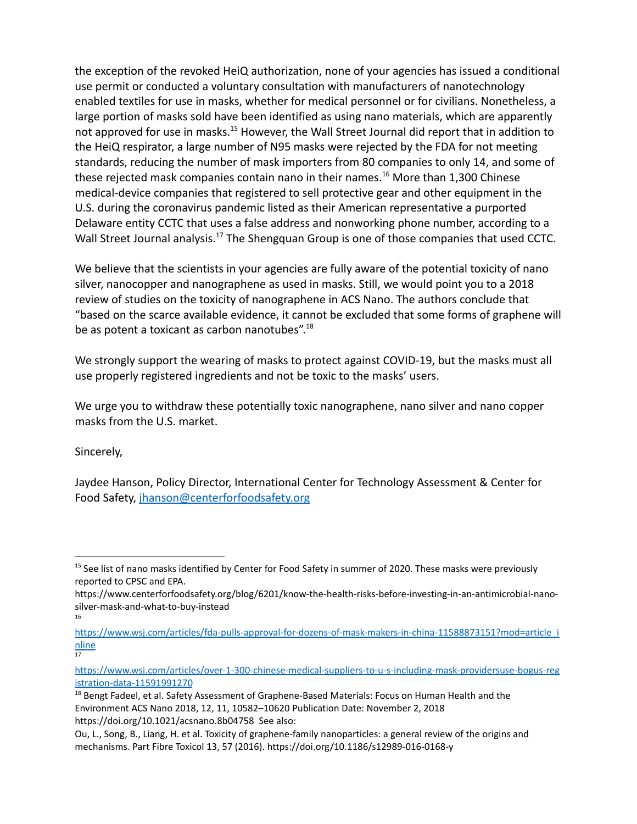the exception of the revoked HeiQ authorization, none of your agencies has issued a conditional use permit or conducted a voluntary consultation with manufacturers of nanotechnology enabled textiles for use in masks, whether for medical personnel or for civilians. Nonetheless, a large portion of masks sold have been identified as using nano materials, which are apparently not approved for use in masks.<sup>15</sup> However, the Wall Street Journal did report that in addition to the HeiQ respirator, a large number of N95 masks were rejected by the FDA for not meeting standards, reducing the number of mask importers from 80 companies to only 14, and some of these rejected mask companies contain nano in their names.<sup>16</sup> More than 1,300 Chinese medical-device companies that registered to sell protective gear and other equipment in the U.S. during the coronavirus pandemic listed as their American representative a purported Delaware entity CCTC that uses a false address and nonworking phone number, according to a Wall Street Journal analysis.<sup>17</sup> The Shengquan Group is one of those companies that used CCTC.

We believe that the scientists in your agencies are fully aware of the potential toxicity of nano silver, nanocopper and nanographene as used in masks. Still, we would point you to a 2018 review of studies on the toxicity of nanographene in ACS Nano. The authors conclude that "based on the scarce available evidence, it cannot be excluded that some forms of graphene will be as potent a toxicant as carbon nanotubes".<sup>18</sup>

We strongly support the wearing of masks to protect against COVID-19, but the masks must all use properly registered ingredients and not be toxic to the masks' users.

We urge you to withdraw these potentially toxic nanographene, nano silver and nano copper masks from the U.S. market.

Sincerely,

Jaydee Hanson, Policy Director, International Center for Technology Assessment & Center for Food Safety, [jhanson@centerforfoodsafety.org](mailto:jhanson@centerforfoodsafety.org)

<sup>&</sup>lt;sup>15</sup> See list of nano masks identified by Center for Food Safety in summer of 2020. These masks were previously reported to CPSC and EPA.

<sup>16</sup> https://www.centerforfoodsafety.org/blog/6201/know-the-health-risks-before-investing-in-an-antimicrobial-nanosilver-mask-and-what-to-buy-instead

 $17$ [https://www.wsj.com/articles/fda-pulls-approval-for-dozens-of-mask-makers-in-china-11588873151?mod=article\\_i](https://www.wsj.com/articles/fda-pulls-approval-for-dozens-of-mask-makers-in-china-11588873151?mod=article_inline) [nline](https://www.wsj.com/articles/fda-pulls-approval-for-dozens-of-mask-makers-in-china-11588873151?mod=article_inline)

[https://www.wsj.com/articles/over-1-300-chinese-medical-suppliers-to-u-s-including-mask-providersuse-bogus-reg](https://www.wsj.com/articles/over-1-300-chinese-medical-suppliers-to-u-s-including-mask-providersuse-bogus-registration-data-11591991270) [istration-data-11591991270](https://www.wsj.com/articles/over-1-300-chinese-medical-suppliers-to-u-s-including-mask-providersuse-bogus-registration-data-11591991270)

<sup>&</sup>lt;sup>18</sup> Bengt Fadeel, et al. Safety Assessment of Graphene-Based Materials: Focus on Human Health and the Environment ACS Nano 2018, 12, 11, 10582–10620 Publication Date: November 2, 2018 https://doi.org/10.1021/acsnano.8b04758 See also:

Ou, L., Song, B., Liang, H. et al. Toxicity of graphene-family nanoparticles: a general review of the origins and mechanisms. Part Fibre Toxicol 13, 57 (2016). https://doi.org/10.1186/s12989-016-0168-y